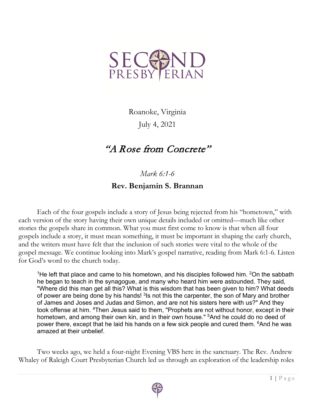

Roanoke, Virginia July 4, 2021

## "A Rose from Concrete"

*Mark 6:1-6*

## **Rev. Benjamin S. Brannan**

Each of the four gospels include a story of Jesus being rejected from his "hometown," with each version of the story having their own unique details included or omitted—much like other stories the gospels share in common. What you must first come to know is that when all four gospels include a story, it must mean something, it must be important in shaping the early church, and the writers must have felt that the inclusion of such stories were vital to the whole of the gospel message. We continue looking into Mark's gospel narrative, reading from Mark 6:1-6. Listen for God's word to the church today.

<sup>1</sup>He left that place and came to his hometown, and his disciples followed him. <sup>2</sup>On the sabbath he began to teach in the synagogue, and many who heard him were astounded. They said, "Where did this man get all this? What is this wisdom that has been given to him? What deeds of power are being done by his hands!  $3$ Is not this the carpenter, the son of Mary and brother of James and Joses and Judas and Simon, and are not his sisters here with us?" And they took offense at him. 4Then Jesus said to them, "Prophets are not without honor, except in their hometown, and among their own kin, and in their own house." <sup>5</sup>And he could do no deed of power there, except that he laid his hands on a few sick people and cured them. <sup>6</sup>And he was amazed at their unbelief.

Two weeks ago, we held a four-night Evening VBS here in the sanctuary. The Rev. Andrew Whaley of Raleigh Court Presbyterian Church led us through an exploration of the leadership roles

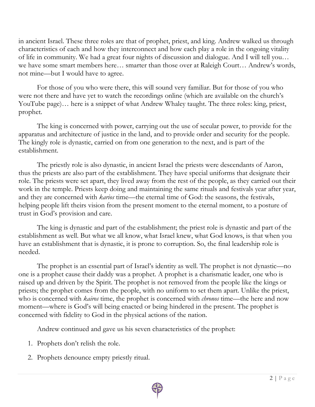in ancient Israel. These three roles are that of prophet, priest, and king. Andrew walked us through characteristics of each and how they interconnect and how each play a role in the ongoing vitality of life in community. We had a great four nights of discussion and dialogue. And I will tell you… we have some smart members here… smarter than those over at Raleigh Court… Andrew's words, not mine—but I would have to agree.

For those of you who were there, this will sound very familiar. But for those of you who were not there and have yet to watch the recordings online (which are available on the church's YouTube page)… here is a snippet of what Andrew Whaley taught. The three roles: king, priest, prophet.

The king is concerned with power, carrying out the use of secular power, to provide for the apparatus and architecture of justice in the land, and to provide order and security for the people. The kingly role is dynastic, carried on from one generation to the next, and is part of the establishment.

The priestly role is also dynastic, in ancient Israel the priests were descendants of Aaron, thus the priests are also part of the establishment. They have special uniforms that designate their role. The priests were set apart, they lived away from the rest of the people, as they carried out their work in the temple. Priests keep doing and maintaining the same rituals and festivals year after year, and they are concerned with *karios* time—the eternal time of God: the seasons, the festivals, helping people lift theirs vision from the present moment to the eternal moment, to a posture of trust in God's provision and care.

The king is dynastic and part of the establishment; the priest role is dynastic and part of the establishment as well. But what we all know, what Israel knew, what God knows, is that when you have an establishment that is dynastic, it is prone to corruption. So, the final leadership role is needed.

The prophet is an essential part of Israel's identity as well. The prophet is not dynastic—no one is a prophet cause their daddy was a prophet. A prophet is a charismatic leader, one who is raised up and driven by the Spirit. The prophet is not removed from the people like the kings or priests; the prophet comes from the people, with no uniform to set them apart. Unlike the priest, who is concerned with *kairos* time, the prophet is concerned with *chronos* time—the here and now moment—where is God's will being enacted or being hindered in the present. The prophet is concerned with fidelity to God in the physical actions of the nation.

Andrew continued and gave us his seven characteristics of the prophet:

- 1. Prophets don't relish the role.
- 2. Prophets denounce empty priestly ritual.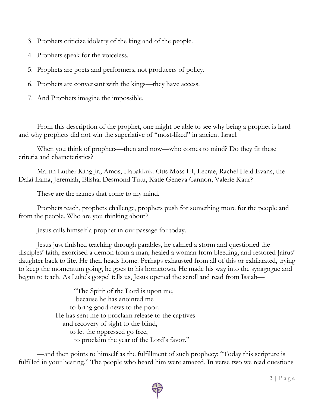- 3. Prophets criticize idolatry of the king and of the people.
- 4. Prophets speak for the voiceless.
- 5. Prophets are poets and performers, not producers of policy.
- 6. Prophets are conversant with the kings—they have access.
- 7. And Prophets imagine the impossible.

From this description of the prophet, one might be able to see why being a prophet is hard and why prophets did not win the superlative of "most-liked" in ancient Israel.

When you think of prophets—then and now—who comes to mind? Do they fit these criteria and characteristics?

Martin Luther King Jr., Amos, Habakkuk. Otis Moss III, Lecrae, Rachel Held Evans, the Dalai Lama, Jeremiah, Elisha, Desmond Tutu, Katie Geneva Cannon, Valerie Kaur?

These are the names that come to my mind.

Prophets teach, prophets challenge, prophets push for something more for the people and from the people. Who are you thinking about?

Jesus calls himself a prophet in our passage for today.

Jesus just finished teaching through parables, he calmed a storm and questioned the disciples' faith, exorcised a demon from a man, healed a woman from bleeding, and restored Jairus' daughter back to life. He then heads home. Perhaps exhausted from all of this or exhilarated, trying to keep the momentum going, he goes to his hometown. He made his way into the synagogue and began to teach. As Luke's gospel tells us, Jesus opened the scroll and read from Isaiah—

> "The Spirit of the Lord is upon me, because he has anointed me to bring good news to the poor. He has sent me to proclaim release to the captives and recovery of sight to the blind, to let the oppressed go free, to proclaim the year of the Lord's favor."

—and then points to himself as the fulfillment of such prophecy: "Today this scripture is fulfilled in your hearing." The people who heard him were amazed. In verse two we read questions

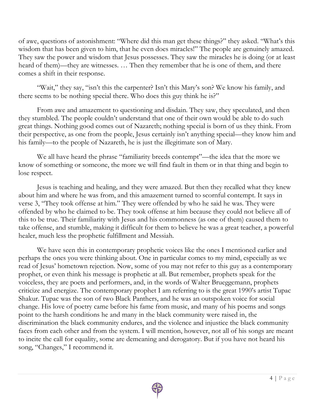of awe, questions of astonishment: "Where did this man get these things?" they asked. "What's this wisdom that has been given to him, that he even does miracles!" The people are genuinely amazed. They saw the power and wisdom that Jesus possesses. They saw the miracles he is doing (or at least heard of them)—they are witnesses. … Then they remember that he is one of them, and there comes a shift in their response.

"Wait," they say, "isn't this the carpenter? Isn't this Mary's son? We know his family, and there seems to be nothing special there. Who does this guy think he is?"

From awe and amazement to questioning and disdain. They saw, they speculated, and then they stumbled. The people couldn't understand that one of their own would be able to do such great things. Nothing good comes out of Nazareth; nothing special is born of us they think. From their perspective, as one from the people, Jesus certainly isn't anything special—they know him and his family—to the people of Nazareth, he is just the illegitimate son of Mary.

We all have heard the phrase "familiarity breeds contempt"—the idea that the more we know of something or someone, the more we will find fault in them or in that thing and begin to lose respect.

Jesus is teaching and healing, and they were amazed. But then they recalled what they knew about him and where he was from, and this amazement turned to scornful contempt. It says in verse 3, "They took offense at him." They were offended by who he said he was. They were offended by who he claimed to be. They took offense at him because they could not believe all of this to be true. Their familiarity with Jesus and his commonness (as one of them) caused them to take offense, and stumble, making it difficult for them to believe he was a great teacher, a powerful healer, much less the prophetic fulfillment and Messiah.

We have seen this in contemporary prophetic voices like the ones I mentioned earlier and perhaps the ones you were thinking about. One in particular comes to my mind, especially as we read of Jesus' hometown rejection. Now, some of you may not refer to this guy as a contemporary prophet, or even think his message is prophetic at all. But remember, prophets speak for the voiceless, they are poets and performers, and, in the words of Walter Brueggemann, prophets criticize and energize. The contemporary prophet I am referring to is the great 1990's artist Tupac Shakur. Tupac was the son of two Black Panthers, and he was an outspoken voice for social change. His love of poetry came before his fame from music, and many of his poems and songs point to the harsh conditions he and many in the black community were raised in, the discrimination the black community endures, and the violence and injustice the black community faces from each other and from the system. I will mention, however, not all of his songs are meant to incite the call for equality, some are demeaning and derogatory. But if you have not heard his song, "Changes," I recommend it.